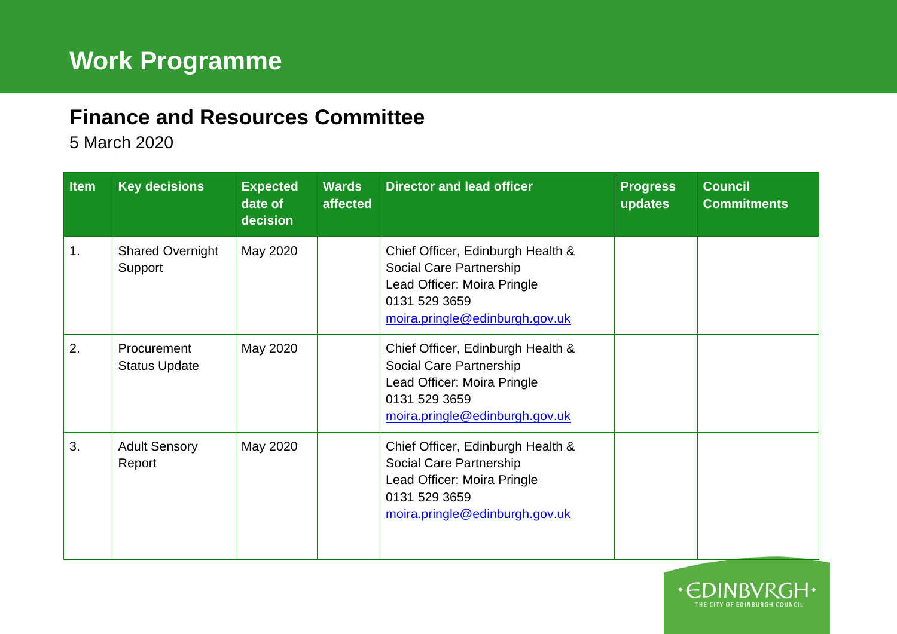## **Finance and Resources Committee**

5 March 2020

| Item | <b>Key decisions</b>                | <b>Expected</b><br>date of<br>decision | <b>Wards</b><br>affected | <b>Director and lead officer</b>                                                                                                               | <b>Progress</b><br>updates | <b>Council</b><br><b>Commitments</b> |
|------|-------------------------------------|----------------------------------------|--------------------------|------------------------------------------------------------------------------------------------------------------------------------------------|----------------------------|--------------------------------------|
| 1.   | <b>Shared Overnight</b><br>Support  | May 2020                               |                          | Chief Officer, Edinburgh Health &<br>Social Care Partnership<br>Lead Officer: Moira Pringle<br>0131 529 3659<br>moira.pringle@edinburgh.gov.uk |                            |                                      |
| 2.   | Procurement<br><b>Status Update</b> | May 2020                               |                          | Chief Officer, Edinburgh Health &<br>Social Care Partnership<br>Lead Officer: Moira Pringle<br>0131 529 3659<br>moira.pringle@edinburgh.gov.uk |                            |                                      |
| 3.   | <b>Adult Sensory</b><br>Report      | May 2020                               |                          | Chief Officer, Edinburgh Health &<br>Social Care Partnership<br>Lead Officer: Moira Pringle<br>0131 529 3659<br>moira.pringle@edinburgh.gov.uk |                            |                                      |

 $\cdot$  $\epsilon$ r

THE CITY OF EDINBURGH COUNCIL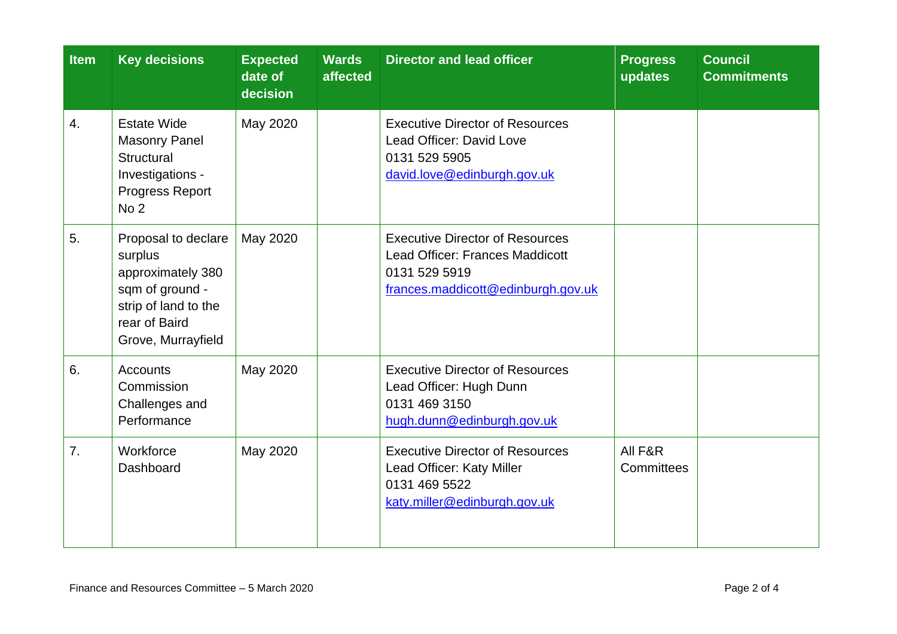| <b>Item</b> | <b>Key decisions</b>                                                                                                                  | <b>Expected</b><br>date of<br>decision | <b>Wards</b><br>affected | <b>Director and lead officer</b>                                                                                                        | <b>Progress</b><br>updates | <b>Council</b><br><b>Commitments</b> |
|-------------|---------------------------------------------------------------------------------------------------------------------------------------|----------------------------------------|--------------------------|-----------------------------------------------------------------------------------------------------------------------------------------|----------------------------|--------------------------------------|
| 4.          | <b>Estate Wide</b><br><b>Masonry Panel</b><br>Structural<br>Investigations -<br>Progress Report<br>No <sub>2</sub>                    | May 2020                               |                          | <b>Executive Director of Resources</b><br>Lead Officer: David Love<br>0131 529 5905<br>david.love@edinburgh.gov.uk                      |                            |                                      |
| 5.          | Proposal to declare<br>surplus<br>approximately 380<br>sqm of ground -<br>strip of land to the<br>rear of Baird<br>Grove, Murrayfield | May 2020                               |                          | <b>Executive Director of Resources</b><br><b>Lead Officer: Frances Maddicott</b><br>0131 529 5919<br>frances.maddicott@edinburgh.gov.uk |                            |                                      |
| 6.          | <b>Accounts</b><br>Commission<br>Challenges and<br>Performance                                                                        | May 2020                               |                          | <b>Executive Director of Resources</b><br>Lead Officer: Hugh Dunn<br>0131 469 3150<br>hugh.dunn@edinburgh.gov.uk                        |                            |                                      |
| 7.          | Workforce<br>Dashboard                                                                                                                | May 2020                               |                          | <b>Executive Director of Resources</b><br>Lead Officer: Katy Miller<br>0131 469 5522<br>katy.miller@edinburgh.gov.uk                    | All F&R<br>Committees      |                                      |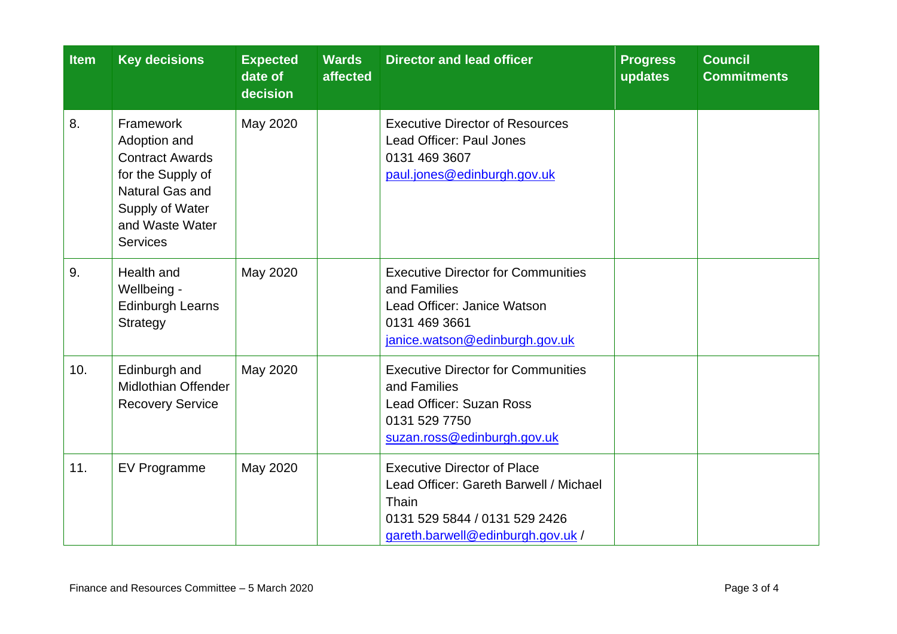| Item | <b>Key decisions</b>                                                                                                                                 | <b>Expected</b><br>date of<br>decision | <b>Wards</b><br>affected | <b>Director and lead officer</b>                                                                                                                            | <b>Progress</b><br>updates | <b>Council</b><br><b>Commitments</b> |
|------|------------------------------------------------------------------------------------------------------------------------------------------------------|----------------------------------------|--------------------------|-------------------------------------------------------------------------------------------------------------------------------------------------------------|----------------------------|--------------------------------------|
| 8.   | Framework<br>Adoption and<br><b>Contract Awards</b><br>for the Supply of<br>Natural Gas and<br>Supply of Water<br>and Waste Water<br><b>Services</b> | May 2020                               |                          | <b>Executive Director of Resources</b><br>Lead Officer: Paul Jones<br>0131 469 3607<br>paul.jones@edinburgh.gov.uk                                          |                            |                                      |
| 9.   | Health and<br>Wellbeing -<br><b>Edinburgh Learns</b><br>Strategy                                                                                     | May 2020                               |                          | <b>Executive Director for Communities</b><br>and Families<br>Lead Officer: Janice Watson<br>0131 469 3661<br>janice.watson@edinburgh.gov.uk                 |                            |                                      |
| 10.  | Edinburgh and<br><b>Midlothian Offender</b><br><b>Recovery Service</b>                                                                               | May 2020                               |                          | <b>Executive Director for Communities</b><br>and Families<br>Lead Officer: Suzan Ross<br>0131 529 7750<br>suzan.ross@edinburgh.gov.uk                       |                            |                                      |
| 11.  | <b>EV Programme</b>                                                                                                                                  | May 2020                               |                          | <b>Executive Director of Place</b><br>Lead Officer: Gareth Barwell / Michael<br>Thain<br>0131 529 5844 / 0131 529 2426<br>gareth.barwell@edinburgh.gov.uk / |                            |                                      |